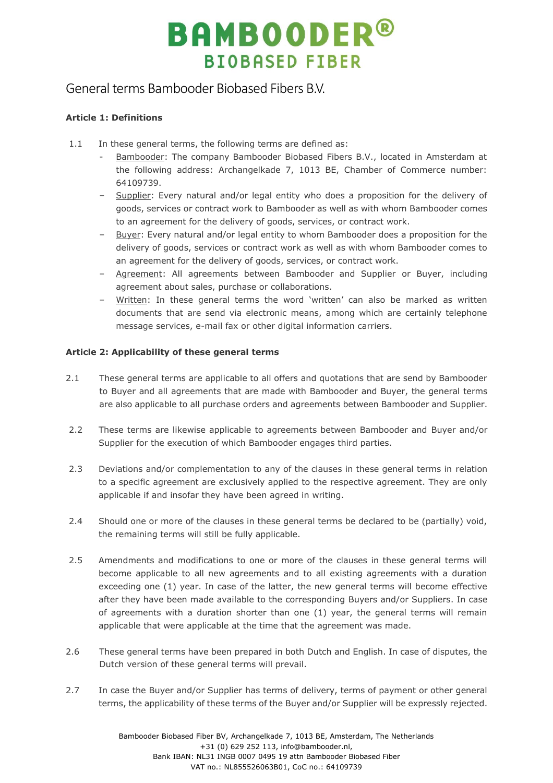### General terms Bambooder Biobased Fibers B.V.

### **Article 1: Definitions**

- 1.1 In these general terms, the following terms are defined as:
	- Bambooder: The company Bambooder Biobased Fibers B.V., located in Amsterdam at the following address: Archangelkade 7, 1013 BE, Chamber of Commerce number: 64109739.
	- ‒ Supplier: Every natural and/or legal entity who does a proposition for the delivery of goods, services or contract work to Bambooder as well as with whom Bambooder comes to an agreement for the delivery of goods, services, or contract work.
	- ‒ Buyer: Every natural and/or legal entity to whom Bambooder does a proposition for the delivery of goods, services or contract work as well as with whom Bambooder comes to an agreement for the delivery of goods, services, or contract work.
	- ‒ Agreement: All agreements between Bambooder and Supplier or Buyer, including agreement about sales, purchase or collaborations.
	- Written: In these general terms the word 'written' can also be marked as written documents that are send via electronic means, among which are certainly telephone message services, e-mail fax or other digital information carriers.

### **Article 2: Applicability of these general terms**

- 2.1 These general terms are applicable to all offers and quotations that are send by Bambooder to Buyer and all agreements that are made with Bambooder and Buyer, the general terms are also applicable to all purchase orders and agreements between Bambooder and Supplier.
- 2.2 These terms are likewise applicable to agreements between Bambooder and Buyer and/or Supplier for the execution of which Bambooder engages third parties.
- 2.3 Deviations and/or complementation to any of the clauses in these general terms in relation to a specific agreement are exclusively applied to the respective agreement. They are only applicable if and insofar they have been agreed in writing.
- 2.4 Should one or more of the clauses in these general terms be declared to be (partially) void, the remaining terms will still be fully applicable.
- 2.5 Amendments and modifications to one or more of the clauses in these general terms will become applicable to all new agreements and to all existing agreements with a duration exceeding one (1) year. In case of the latter, the new general terms will become effective after they have been made available to the corresponding Buyers and/or Suppliers. In case of agreements with a duration shorter than one (1) year, the general terms will remain applicable that were applicable at the time that the agreement was made.
- 2.6 These general terms have been prepared in both Dutch and English. In case of disputes, the Dutch version of these general terms will prevail.
- 2.7 In case the Buyer and/or Supplier has terms of delivery, terms of payment or other general terms, the applicability of these terms of the Buyer and/or Supplier will be expressly rejected.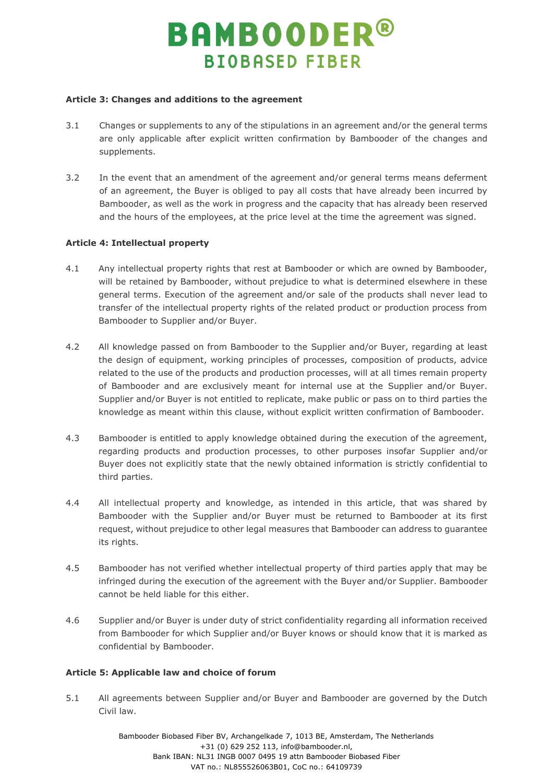#### **Article 3: Changes and additions to the agreement**

- 3.1 Changes or supplements to any of the stipulations in an agreement and/or the general terms are only applicable after explicit written confirmation by Bambooder of the changes and supplements.
- 3.2 In the event that an amendment of the agreement and/or general terms means deferment of an agreement, the Buyer is obliged to pay all costs that have already been incurred by Bambooder, as well as the work in progress and the capacity that has already been reserved and the hours of the employees, at the price level at the time the agreement was signed.

### **Article 4: Intellectual property**

- 4.1 Any intellectual property rights that rest at Bambooder or which are owned by Bambooder, will be retained by Bambooder, without prejudice to what is determined elsewhere in these general terms. Execution of the agreement and/or sale of the products shall never lead to transfer of the intellectual property rights of the related product or production process from Bambooder to Supplier and/or Buyer.
- 4.2 All knowledge passed on from Bambooder to the Supplier and/or Buyer, regarding at least the design of equipment, working principles of processes, composition of products, advice related to the use of the products and production processes, will at all times remain property of Bambooder and are exclusively meant for internal use at the Supplier and/or Buyer. Supplier and/or Buyer is not entitled to replicate, make public or pass on to third parties the knowledge as meant within this clause, without explicit written confirmation of Bambooder.
- 4.3 Bambooder is entitled to apply knowledge obtained during the execution of the agreement, regarding products and production processes, to other purposes insofar Supplier and/or Buyer does not explicitly state that the newly obtained information is strictly confidential to third parties.
- 4.4 All intellectual property and knowledge, as intended in this article, that was shared by Bambooder with the Supplier and/or Buyer must be returned to Bambooder at its first request, without prejudice to other legal measures that Bambooder can address to guarantee its rights.
- 4.5 Bambooder has not verified whether intellectual property of third parties apply that may be infringed during the execution of the agreement with the Buyer and/or Supplier. Bambooder cannot be held liable for this either.
- 4.6 Supplier and/or Buyer is under duty of strict confidentiality regarding all information received from Bambooder for which Supplier and/or Buyer knows or should know that it is marked as confidential by Bambooder.

### **Article 5: Applicable law and choice of forum**

5.1 All agreements between Supplier and/or Buyer and Bambooder are governed by the Dutch Civil law.

> Bambooder Biobased Fiber BV, Archangelkade 7, 1013 BE, Amsterdam, The Netherlands +31 (0) 629 252 113, info@bambooder.nl, Bank IBAN: NL31 INGB 0007 0495 19 attn Bambooder Biobased Fiber VAT no.: NL855526063B01, CoC no.: 64109739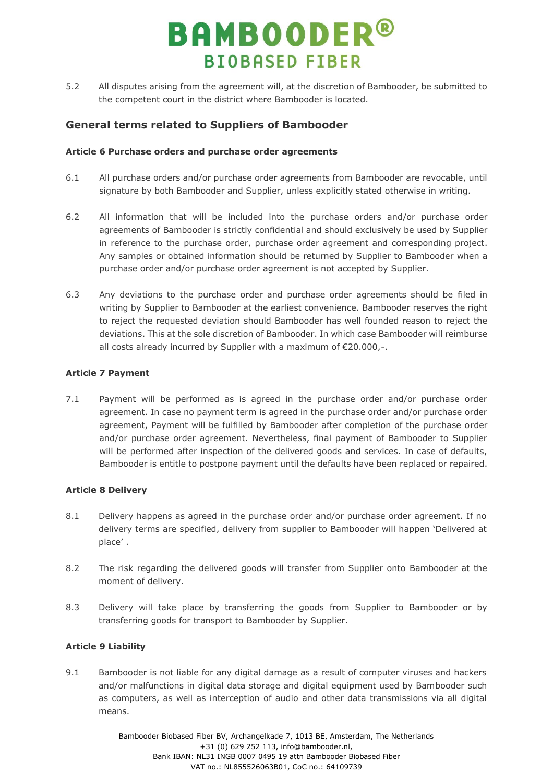5.2 All disputes arising from the agreement will, at the discretion of Bambooder, be submitted to the competent court in the district where Bambooder is located.

### **General terms related to Suppliers of Bambooder**

#### **Article 6 Purchase orders and purchase order agreements**

- 6.1 All purchase orders and/or purchase order agreements from Bambooder are revocable, until signature by both Bambooder and Supplier, unless explicitly stated otherwise in writing.
- 6.2 All information that will be included into the purchase orders and/or purchase order agreements of Bambooder is strictly confidential and should exclusively be used by Supplier in reference to the purchase order, purchase order agreement and corresponding project. Any samples or obtained information should be returned by Supplier to Bambooder when a purchase order and/or purchase order agreement is not accepted by Supplier.
- 6.3 Any deviations to the purchase order and purchase order agreements should be filed in writing by Supplier to Bambooder at the earliest convenience. Bambooder reserves the right to reject the requested deviation should Bambooder has well founded reason to reject the deviations. This at the sole discretion of Bambooder. In which case Bambooder will reimburse all costs already incurred by Supplier with a maximum of €20.000,-.

### **Article 7 Payment**

7.1 Payment will be performed as is agreed in the purchase order and/or purchase order agreement. In case no payment term is agreed in the purchase order and/or purchase order agreement, Payment will be fulfilled by Bambooder after completion of the purchase order and/or purchase order agreement. Nevertheless, final payment of Bambooder to Supplier will be performed after inspection of the delivered goods and services. In case of defaults, Bambooder is entitle to postpone payment until the defaults have been replaced or repaired.

### **Article 8 Delivery**

- 8.1 Delivery happens as agreed in the purchase order and/or purchase order agreement. If no delivery terms are specified, delivery from supplier to Bambooder will happen 'Delivered at place' .
- 8.2 The risk regarding the delivered goods will transfer from Supplier onto Bambooder at the moment of delivery.
- 8.3 Delivery will take place by transferring the goods from Supplier to Bambooder or by transferring goods for transport to Bambooder by Supplier.

### **Article 9 Liability**

9.1 Bambooder is not liable for any digital damage as a result of computer viruses and hackers and/or malfunctions in digital data storage and digital equipment used by Bambooder such as computers, as well as interception of audio and other data transmissions via all digital means.

> Bambooder Biobased Fiber BV, Archangelkade 7, 1013 BE, Amsterdam, The Netherlands +31 (0) 629 252 113, info@bambooder.nl, Bank IBAN: NL31 INGB 0007 0495 19 attn Bambooder Biobased Fiber VAT no.: NL855526063B01, CoC no.: 64109739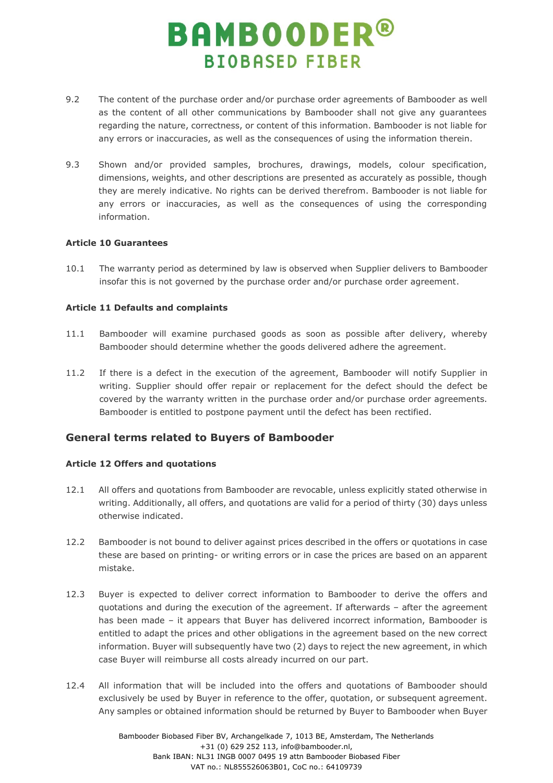- 9.2 The content of the purchase order and/or purchase order agreements of Bambooder as well as the content of all other communications by Bambooder shall not give any guarantees regarding the nature, correctness, or content of this information. Bambooder is not liable for any errors or inaccuracies, as well as the consequences of using the information therein.
- 9.3 Shown and/or provided samples, brochures, drawings, models, colour specification, dimensions, weights, and other descriptions are presented as accurately as possible, though they are merely indicative. No rights can be derived therefrom. Bambooder is not liable for any errors or inaccuracies, as well as the consequences of using the corresponding information.

### **Article 10 Guarantees**

10.1 The warranty period as determined by law is observed when Supplier delivers to Bambooder insofar this is not governed by the purchase order and/or purchase order agreement.

### **Article 11 Defaults and complaints**

- 11.1 Bambooder will examine purchased goods as soon as possible after delivery, whereby Bambooder should determine whether the goods delivered adhere the agreement.
- 11.2 If there is a defect in the execution of the agreement, Bambooder will notify Supplier in writing. Supplier should offer repair or replacement for the defect should the defect be covered by the warranty written in the purchase order and/or purchase order agreements. Bambooder is entitled to postpone payment until the defect has been rectified.

### **General terms related to Buyers of Bambooder**

### **Article 12 Offers and quotations**

- 12.1 All offers and quotations from Bambooder are revocable, unless explicitly stated otherwise in writing. Additionally, all offers, and quotations are valid for a period of thirty (30) days unless otherwise indicated.
- 12.2 Bambooder is not bound to deliver against prices described in the offers or quotations in case these are based on printing- or writing errors or in case the prices are based on an apparent mistake.
- 12.3 Buyer is expected to deliver correct information to Bambooder to derive the offers and quotations and during the execution of the agreement. If afterwards – after the agreement has been made – it appears that Buyer has delivered incorrect information, Bambooder is entitled to adapt the prices and other obligations in the agreement based on the new correct information. Buyer will subsequently have two (2) days to reject the new agreement, in which case Buyer will reimburse all costs already incurred on our part.
- 12.4 All information that will be included into the offers and quotations of Bambooder should exclusively be used by Buyer in reference to the offer, quotation, or subsequent agreement. Any samples or obtained information should be returned by Buyer to Bambooder when Buyer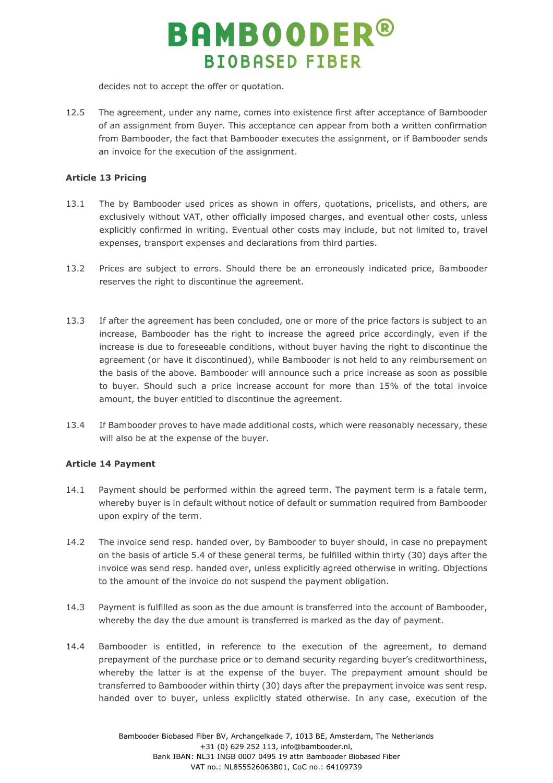decides not to accept the offer or quotation.

12.5 The agreement, under any name, comes into existence first after acceptance of Bambooder of an assignment from Buyer. This acceptance can appear from both a written confirmation from Bambooder, the fact that Bambooder executes the assignment, or if Bambooder sends an invoice for the execution of the assignment.

### **Article 13 Pricing**

- 13.1 The by Bambooder used prices as shown in offers, quotations, pricelists, and others, are exclusively without VAT, other officially imposed charges, and eventual other costs, unless explicitly confirmed in writing. Eventual other costs may include, but not limited to, travel expenses, transport expenses and declarations from third parties.
- 13.2 Prices are subject to errors. Should there be an erroneously indicated price, Bambooder reserves the right to discontinue the agreement.
- 13.3 If after the agreement has been concluded, one or more of the price factors is subject to an increase, Bambooder has the right to increase the agreed price accordingly, even if the increase is due to foreseeable conditions, without buyer having the right to discontinue the agreement (or have it discontinued), while Bambooder is not held to any reimbursement on the basis of the above. Bambooder will announce such a price increase as soon as possible to buyer. Should such a price increase account for more than 15% of the total invoice amount, the buyer entitled to discontinue the agreement.
- 13.4 If Bambooder proves to have made additional costs, which were reasonably necessary, these will also be at the expense of the buyer.

### **Article 14 Payment**

- 14.1 Payment should be performed within the agreed term. The payment term is a fatale term, whereby buyer is in default without notice of default or summation required from Bambooder upon expiry of the term.
- 14.2 The invoice send resp. handed over, by Bambooder to buyer should, in case no prepayment on the basis of article 5.4 of these general terms, be fulfilled within thirty (30) days after the invoice was send resp. handed over, unless explicitly agreed otherwise in writing. Objections to the amount of the invoice do not suspend the payment obligation.
- 14.3 Payment is fulfilled as soon as the due amount is transferred into the account of Bambooder, whereby the day the due amount is transferred is marked as the day of payment.
- 14.4 Bambooder is entitled, in reference to the execution of the agreement, to demand prepayment of the purchase price or to demand security regarding buyer's creditworthiness, whereby the latter is at the expense of the buyer. The prepayment amount should be transferred to Bambooder within thirty (30) days after the prepayment invoice was sent resp. handed over to buyer, unless explicitly stated otherwise. In any case, execution of the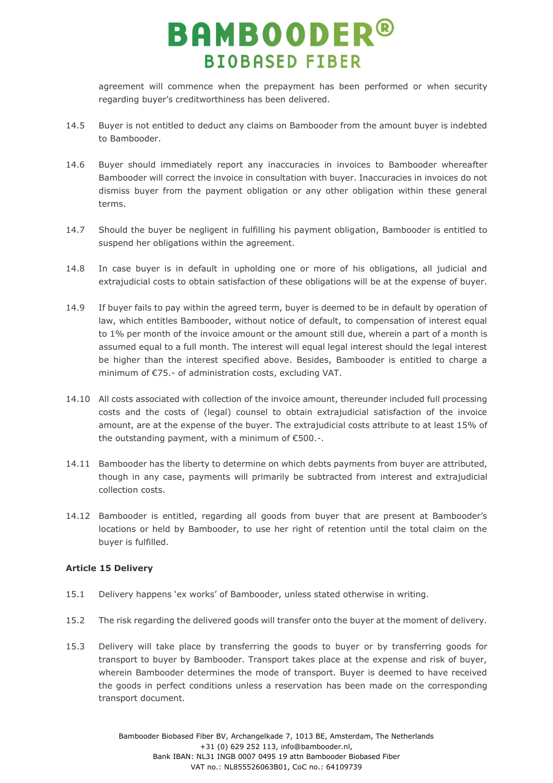agreement will commence when the prepayment has been performed or when security regarding buyer's creditworthiness has been delivered.

- 14.5 Buyer is not entitled to deduct any claims on Bambooder from the amount buyer is indebted to Bambooder.
- 14.6 Buyer should immediately report any inaccuracies in invoices to Bambooder whereafter Bambooder will correct the invoice in consultation with buyer. Inaccuracies in invoices do not dismiss buyer from the payment obligation or any other obligation within these general terms.
- 14.7 Should the buyer be negligent in fulfilling his payment obligation, Bambooder is entitled to suspend her obligations within the agreement.
- 14.8 In case buyer is in default in upholding one or more of his obligations, all judicial and extrajudicial costs to obtain satisfaction of these obligations will be at the expense of buyer.
- 14.9 If buyer fails to pay within the agreed term, buyer is deemed to be in default by operation of law, which entitles Bambooder, without notice of default, to compensation of interest equal to 1% per month of the invoice amount or the amount still due, wherein a part of a month is assumed equal to a full month. The interest will equal legal interest should the legal interest be higher than the interest specified above. Besides, Bambooder is entitled to charge a minimum of €75.- of administration costs, excluding VAT.
- 14.10 All costs associated with collection of the invoice amount, thereunder included full processing costs and the costs of (legal) counsel to obtain extrajudicial satisfaction of the invoice amount, are at the expense of the buyer. The extrajudicial costs attribute to at least 15% of the outstanding payment, with a minimum of €500.-.
- 14.11 Bambooder has the liberty to determine on which debts payments from buyer are attributed, though in any case, payments will primarily be subtracted from interest and extrajudicial collection costs.
- 14.12 Bambooder is entitled, regarding all goods from buyer that are present at Bambooder's locations or held by Bambooder, to use her right of retention until the total claim on the buyer is fulfilled.

### **Article 15 Delivery**

- 15.1 Delivery happens 'ex works' of Bambooder, unless stated otherwise in writing.
- 15.2 The risk regarding the delivered goods will transfer onto the buyer at the moment of delivery.
- 15.3 Delivery will take place by transferring the goods to buyer or by transferring goods for transport to buyer by Bambooder. Transport takes place at the expense and risk of buyer, wherein Bambooder determines the mode of transport. Buyer is deemed to have received the goods in perfect conditions unless a reservation has been made on the corresponding transport document.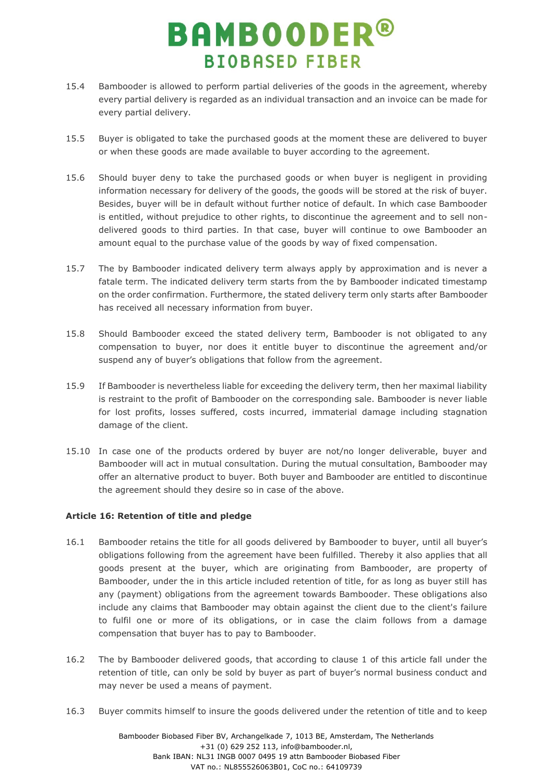- 15.4 Bambooder is allowed to perform partial deliveries of the goods in the agreement, whereby every partial delivery is regarded as an individual transaction and an invoice can be made for every partial delivery.
- 15.5 Buyer is obligated to take the purchased goods at the moment these are delivered to buyer or when these goods are made available to buyer according to the agreement.
- 15.6 Should buyer deny to take the purchased goods or when buyer is negligent in providing information necessary for delivery of the goods, the goods will be stored at the risk of buyer. Besides, buyer will be in default without further notice of default. In which case Bambooder is entitled, without prejudice to other rights, to discontinue the agreement and to sell nondelivered goods to third parties. In that case, buyer will continue to owe Bambooder an amount equal to the purchase value of the goods by way of fixed compensation.
- 15.7 The by Bambooder indicated delivery term always apply by approximation and is never a fatale term. The indicated delivery term starts from the by Bambooder indicated timestamp on the order confirmation. Furthermore, the stated delivery term only starts after Bambooder has received all necessary information from buyer.
- 15.8 Should Bambooder exceed the stated delivery term, Bambooder is not obligated to any compensation to buyer, nor does it entitle buyer to discontinue the agreement and/or suspend any of buyer's obligations that follow from the agreement.
- 15.9 If Bambooder is nevertheless liable for exceeding the delivery term, then her maximal liability is restraint to the profit of Bambooder on the corresponding sale. Bambooder is never liable for lost profits, losses suffered, costs incurred, immaterial damage including stagnation damage of the client.
- 15.10 In case one of the products ordered by buyer are not/no longer deliverable, buyer and Bambooder will act in mutual consultation. During the mutual consultation, Bambooder may offer an alternative product to buyer. Both buyer and Bambooder are entitled to discontinue the agreement should they desire so in case of the above.

### **Article 16: Retention of title and pledge**

- 16.1 Bambooder retains the title for all goods delivered by Bambooder to buyer, until all buyer's obligations following from the agreement have been fulfilled. Thereby it also applies that all goods present at the buyer, which are originating from Bambooder, are property of Bambooder, under the in this article included retention of title, for as long as buyer still has any (payment) obligations from the agreement towards Bambooder. These obligations also include any claims that Bambooder may obtain against the client due to the client's failure to fulfil one or more of its obligations, or in case the claim follows from a damage compensation that buyer has to pay to Bambooder.
- 16.2 The by Bambooder delivered goods, that according to clause 1 of this article fall under the retention of title, can only be sold by buyer as part of buyer's normal business conduct and may never be used a means of payment.
- 16.3 Buyer commits himself to insure the goods delivered under the retention of title and to keep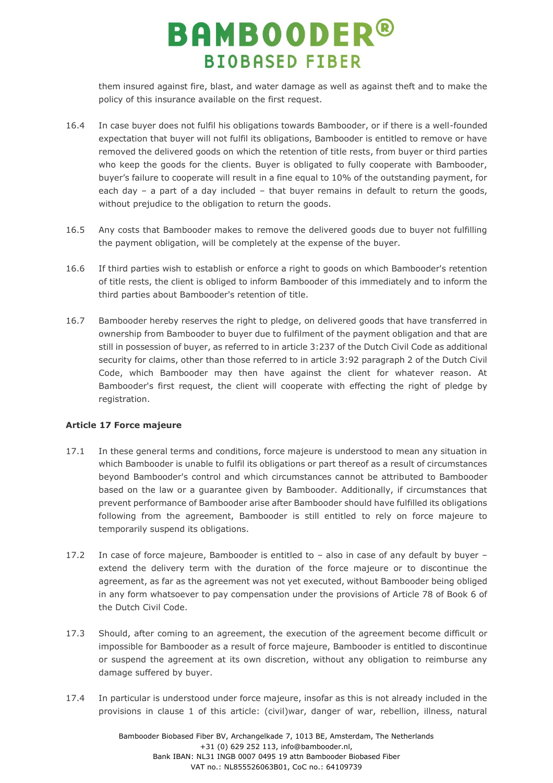them insured against fire, blast, and water damage as well as against theft and to make the policy of this insurance available on the first request.

- 16.4 In case buyer does not fulfil his obligations towards Bambooder, or if there is a well-founded expectation that buyer will not fulfil its obligations, Bambooder is entitled to remove or have removed the delivered goods on which the retention of title rests, from buyer or third parties who keep the goods for the clients. Buyer is obligated to fully cooperate with Bambooder, buyer's failure to cooperate will result in a fine equal to 10% of the outstanding payment, for each day – a part of a day included – that buyer remains in default to return the goods, without prejudice to the obligation to return the goods.
- 16.5 Any costs that Bambooder makes to remove the delivered goods due to buyer not fulfilling the payment obligation, will be completely at the expense of the buyer.
- 16.6 If third parties wish to establish or enforce a right to goods on which Bambooder's retention of title rests, the client is obliged to inform Bambooder of this immediately and to inform the third parties about Bambooder's retention of title.
- 16.7 Bambooder hereby reserves the right to pledge, on delivered goods that have transferred in ownership from Bambooder to buyer due to fulfilment of the payment obligation and that are still in possession of buyer, as referred to in article 3:237 of the Dutch Civil Code as additional security for claims, other than those referred to in article 3:92 paragraph 2 of the Dutch Civil Code, which Bambooder may then have against the client for whatever reason. At Bambooder's first request, the client will cooperate with effecting the right of pledge by registration.

### **Article 17 Force majeure**

- 17.1 In these general terms and conditions, force majeure is understood to mean any situation in which Bambooder is unable to fulfil its obligations or part thereof as a result of circumstances beyond Bambooder's control and which circumstances cannot be attributed to Bambooder based on the law or a guarantee given by Bambooder. Additionally, if circumstances that prevent performance of Bambooder arise after Bambooder should have fulfilled its obligations following from the agreement, Bambooder is still entitled to rely on force majeure to temporarily suspend its obligations.
- 17.2 In case of force majeure, Bambooder is entitled to also in case of any default by buyer extend the delivery term with the duration of the force majeure or to discontinue the agreement, as far as the agreement was not yet executed, without Bambooder being obliged in any form whatsoever to pay compensation under the provisions of Article 78 of Book 6 of the Dutch Civil Code.
- 17.3 Should, after coming to an agreement, the execution of the agreement become difficult or impossible for Bambooder as a result of force majeure, Bambooder is entitled to discontinue or suspend the agreement at its own discretion, without any obligation to reimburse any damage suffered by buyer.
- 17.4 In particular is understood under force majeure, insofar as this is not already included in the provisions in clause 1 of this article: (civil)war, danger of war, rebellion, illness, natural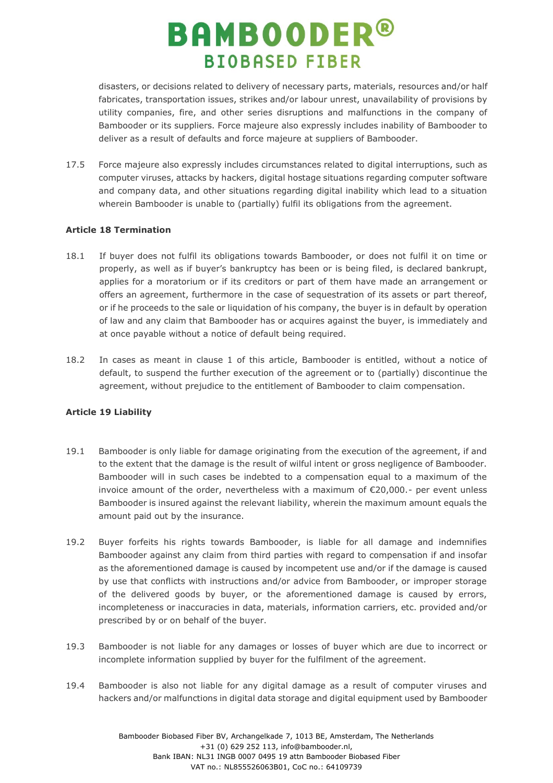disasters, or decisions related to delivery of necessary parts, materials, resources and/or half fabricates, transportation issues, strikes and/or labour unrest, unavailability of provisions by utility companies, fire, and other series disruptions and malfunctions in the company of Bambooder or its suppliers. Force majeure also expressly includes inability of Bambooder to deliver as a result of defaults and force majeure at suppliers of Bambooder.

17.5 Force majeure also expressly includes circumstances related to digital interruptions, such as computer viruses, attacks by hackers, digital hostage situations regarding computer software and company data, and other situations regarding digital inability which lead to a situation wherein Bambooder is unable to (partially) fulfil its obligations from the agreement.

### **Article 18 Termination**

- 18.1 If buyer does not fulfil its obligations towards Bambooder, or does not fulfil it on time or properly, as well as if buyer's bankruptcy has been or is being filed, is declared bankrupt, applies for a moratorium or if its creditors or part of them have made an arrangement or offers an agreement, furthermore in the case of sequestration of its assets or part thereof, or if he proceeds to the sale or liquidation of his company, the buyer is in default by operation of law and any claim that Bambooder has or acquires against the buyer, is immediately and at once payable without a notice of default being required.
- 18.2 In cases as meant in clause 1 of this article, Bambooder is entitled, without a notice of default, to suspend the further execution of the agreement or to (partially) discontinue the agreement, without prejudice to the entitlement of Bambooder to claim compensation.

### **Article 19 Liability**

- 19.1 Bambooder is only liable for damage originating from the execution of the agreement, if and to the extent that the damage is the result of wilful intent or gross negligence of Bambooder. Bambooder will in such cases be indebted to a compensation equal to a maximum of the invoice amount of the order, nevertheless with a maximum of €20,000.- per event unless Bambooder is insured against the relevant liability, wherein the maximum amount equals the amount paid out by the insurance.
- 19.2 Buyer forfeits his rights towards Bambooder, is liable for all damage and indemnifies Bambooder against any claim from third parties with regard to compensation if and insofar as the aforementioned damage is caused by incompetent use and/or if the damage is caused by use that conflicts with instructions and/or advice from Bambooder, or improper storage of the delivered goods by buyer, or the aforementioned damage is caused by errors, incompleteness or inaccuracies in data, materials, information carriers, etc. provided and/or prescribed by or on behalf of the buyer.
- 19.3 Bambooder is not liable for any damages or losses of buyer which are due to incorrect or incomplete information supplied by buyer for the fulfilment of the agreement.
- 19.4 Bambooder is also not liable for any digital damage as a result of computer viruses and hackers and/or malfunctions in digital data storage and digital equipment used by Bambooder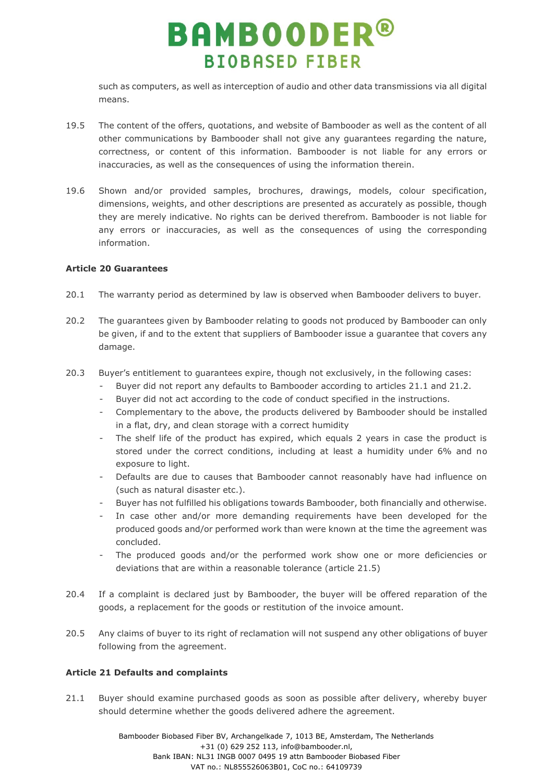such as computers, as well as interception of audio and other data transmissions via all digital means.

- 19.5 The content of the offers, quotations, and website of Bambooder as well as the content of all other communications by Bambooder shall not give any guarantees regarding the nature, correctness, or content of this information. Bambooder is not liable for any errors or inaccuracies, as well as the consequences of using the information therein.
- 19.6 Shown and/or provided samples, brochures, drawings, models, colour specification, dimensions, weights, and other descriptions are presented as accurately as possible, though they are merely indicative. No rights can be derived therefrom. Bambooder is not liable for any errors or inaccuracies, as well as the consequences of using the corresponding information.

### **Article 20 Guarantees**

- 20.1 The warranty period as determined by law is observed when Bambooder delivers to buyer.
- 20.2 The guarantees given by Bambooder relating to goods not produced by Bambooder can only be given, if and to the extent that suppliers of Bambooder issue a guarantee that covers any damage.
- 20.3 Buyer's entitlement to guarantees expire, though not exclusively, in the following cases:
	- Buyer did not report any defaults to Bambooder according to articles 21.1 and 21.2.
	- Buyer did not act according to the code of conduct specified in the instructions.
	- Complementary to the above, the products delivered by Bambooder should be installed in a flat, dry, and clean storage with a correct humidity
	- The shelf life of the product has expired, which equals 2 years in case the product is stored under the correct conditions, including at least a humidity under 6% and no exposure to light.
	- Defaults are due to causes that Bambooder cannot reasonably have had influence on (such as natural disaster etc.).
	- Buyer has not fulfilled his obligations towards Bambooder, both financially and otherwise.
	- In case other and/or more demanding requirements have been developed for the produced goods and/or performed work than were known at the time the agreement was concluded.
	- The produced goods and/or the performed work show one or more deficiencies or deviations that are within a reasonable tolerance (article 21.5)
- 20.4 If a complaint is declared just by Bambooder, the buyer will be offered reparation of the goods, a replacement for the goods or restitution of the invoice amount.
- 20.5 Any claims of buyer to its right of reclamation will not suspend any other obligations of buyer following from the agreement.

### **Article 21 Defaults and complaints**

21.1 Buyer should examine purchased goods as soon as possible after delivery, whereby buyer should determine whether the goods delivered adhere the agreement.

> Bambooder Biobased Fiber BV, Archangelkade 7, 1013 BE, Amsterdam, The Netherlands +31 (0) 629 252 113, info@bambooder.nl, Bank IBAN: NL31 INGB 0007 0495 19 attn Bambooder Biobased Fiber VAT no.: NL855526063B01, CoC no.: 64109739